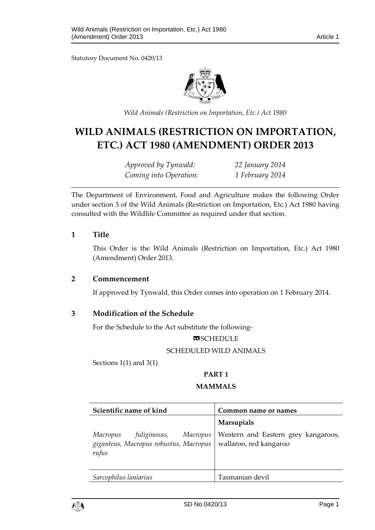Statutory Document No. 0420/13



*Wild Animals (Restriction on Importation, Etc.) Act 1980*

# **WILD ANIMALS (RESTRICTION ON IMPORTATION, ETC.) ACT 1980 (AMENDMENT) ORDER 2013**

*Approved by Tynwald: 22 January 2014 Coming into Operation: 1 February 2014*

The Department of Environment, Food and Agriculture makes the following Order under section 3 of the Wild Animals (Restriction on Importation, Etc.) Act 1980 having consulted with the Wildlife Committee as required under that section.

#### **1 Title**

This Order is the Wild Animals (Restriction on Importation, Etc.) Act 1980 (Amendment) Order 2013.

#### **2 Commencement**

If approved by Tynwald, this Order comes into operation on 1 February 2014.

# **3 Modification of the Schedule**

For the Schedule to the Act substitute the following-

#### **ESCHEDULE**

#### SCHEDULED WILD ANIMALS

Sections 1(1) and 3(1)

#### **PART 1**

#### **MAMMALS**

| Scientific name of kind                                                                                                        | Common name or names                                     |
|--------------------------------------------------------------------------------------------------------------------------------|----------------------------------------------------------|
| Macropus fuliginosus, Macropus Western and Eastern g<br>giganteus, Macropus robustus, Macropus wallaroo, red kangaroo<br>rufus | <b>Marsupials</b><br>Western and Eastern grey kangaroos, |
| Sarcophilus laniarius                                                                                                          | Tasmanian devil                                          |

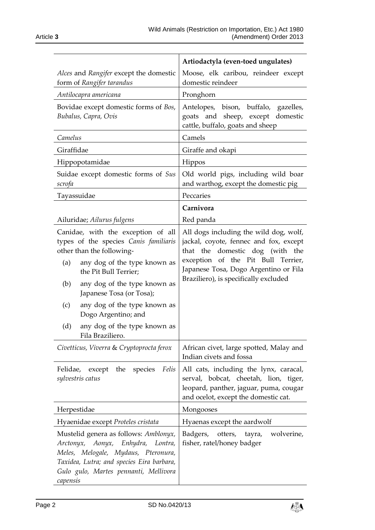|                                                                                                                                                                                                                                                                                    | Artiodactyla (even-toed ungulates)                                                                                                                                                                                                          |
|------------------------------------------------------------------------------------------------------------------------------------------------------------------------------------------------------------------------------------------------------------------------------------|---------------------------------------------------------------------------------------------------------------------------------------------------------------------------------------------------------------------------------------------|
| Alces and Rangifer except the domestic<br>form of Rangifer tarandus                                                                                                                                                                                                                | Moose, elk caribou, reindeer except<br>domestic reindeer                                                                                                                                                                                    |
| Antilocapra americana                                                                                                                                                                                                                                                              | Pronghorn                                                                                                                                                                                                                                   |
| Bovidae except domestic forms of Bos,<br>Bubalus, Capra, Ovis                                                                                                                                                                                                                      | Antelopes, bison, buffalo, gazelles,<br>goats and sheep, except domestic<br>cattle, buffalo, goats and sheep                                                                                                                                |
| Camelus                                                                                                                                                                                                                                                                            | Camels                                                                                                                                                                                                                                      |
| Giraffidae                                                                                                                                                                                                                                                                         | Giraffe and okapi                                                                                                                                                                                                                           |
| Hippopotamidae                                                                                                                                                                                                                                                                     | Hippos                                                                                                                                                                                                                                      |
| Suidae except domestic forms of Sus<br>scrofa                                                                                                                                                                                                                                      | Old world pigs, including wild boar<br>and warthog, except the domestic pig                                                                                                                                                                 |
| Tayassuidae                                                                                                                                                                                                                                                                        | Peccaries                                                                                                                                                                                                                                   |
|                                                                                                                                                                                                                                                                                    | Carnivora                                                                                                                                                                                                                                   |
| Ailuridae; Ailurus fulgens                                                                                                                                                                                                                                                         | Red panda                                                                                                                                                                                                                                   |
| Canidae, with the exception of all<br>types of the species Canis familiaris<br>other than the following-<br>any dog of the type known as<br>(a)<br>the Pit Bull Terrier;<br>(b)<br>any dog of the type known as<br>Japanese Tosa (or Tosa);<br>any dog of the type known as<br>(c) | All dogs including the wild dog, wolf,<br>jackal, coyote, fennec and fox, except<br>that the domestic dog (with the<br>exception of the Pit Bull Terrier,<br>Japanese Tosa, Dogo Argentino or Fila<br>Braziliero), is specifically excluded |
| Dogo Argentino; and<br>any dog of the type known as<br>(d)<br>Fila Braziliero.                                                                                                                                                                                                     |                                                                                                                                                                                                                                             |
| Civetticus, Viverra & Cryptoprocta ferox                                                                                                                                                                                                                                           | African civet, large spotted, Malay and<br>Indian civets and fossa                                                                                                                                                                          |
| Felis<br>the<br>species<br>Felidae,<br>except<br>sylvestris catus                                                                                                                                                                                                                  | All cats, including the lynx, caracal,<br>serval, bobcat, cheetah, lion, tiger,<br>leopard, panther, jaguar, puma, cougar<br>and ocelot, except the domestic cat.                                                                           |
| Herpestidae                                                                                                                                                                                                                                                                        | Mongooses                                                                                                                                                                                                                                   |
| Hyaenidae except Proteles cristata                                                                                                                                                                                                                                                 | Hyaenas except the aardwolf                                                                                                                                                                                                                 |
| Mustelid genera as follows: Amblonyx,<br>Arctonyx, Aonyx, Enhydra, Lontra,<br>Meles, Melogale, Mydaus, Pteronura,<br>Taxidea, Lutra; and species Eira barbara,<br>Gulo gulo, Martes pennanti, Mellivora<br>capensis                                                                | Badgers,<br>wolverine,<br>otters,<br>tayra,<br>fisher, ratel/honey badger                                                                                                                                                                   |

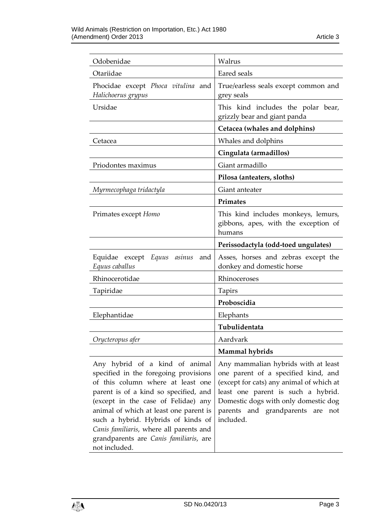| Odobenidae                                                                                                                                                                                                                                                                                                                                                                         | Walrus                                                                                                                                                                                                                                                   |
|------------------------------------------------------------------------------------------------------------------------------------------------------------------------------------------------------------------------------------------------------------------------------------------------------------------------------------------------------------------------------------|----------------------------------------------------------------------------------------------------------------------------------------------------------------------------------------------------------------------------------------------------------|
| Otariidae                                                                                                                                                                                                                                                                                                                                                                          | Eared seals                                                                                                                                                                                                                                              |
| Phocidae except Phoca vitulina and<br>Halichoerus grypus                                                                                                                                                                                                                                                                                                                           | True/earless seals except common and<br>grey seals                                                                                                                                                                                                       |
| Ursidae                                                                                                                                                                                                                                                                                                                                                                            | This kind includes the polar bear,<br>grizzly bear and giant panda                                                                                                                                                                                       |
|                                                                                                                                                                                                                                                                                                                                                                                    | Cetacea (whales and dolphins)                                                                                                                                                                                                                            |
| Cetacea                                                                                                                                                                                                                                                                                                                                                                            | Whales and dolphins                                                                                                                                                                                                                                      |
|                                                                                                                                                                                                                                                                                                                                                                                    | Cingulata (armadillos)                                                                                                                                                                                                                                   |
| Priodontes maximus                                                                                                                                                                                                                                                                                                                                                                 | Giant armadillo                                                                                                                                                                                                                                          |
|                                                                                                                                                                                                                                                                                                                                                                                    | Pilosa (anteaters, sloths)                                                                                                                                                                                                                               |
| Myrmecophaga tridactyla                                                                                                                                                                                                                                                                                                                                                            | Giant anteater                                                                                                                                                                                                                                           |
|                                                                                                                                                                                                                                                                                                                                                                                    | Primates                                                                                                                                                                                                                                                 |
| Primates except Homo                                                                                                                                                                                                                                                                                                                                                               | This kind includes monkeys, lemurs,<br>gibbons, apes, with the exception of<br>humans                                                                                                                                                                    |
|                                                                                                                                                                                                                                                                                                                                                                                    | Perissodactyla (odd-toed ungulates)                                                                                                                                                                                                                      |
| Equidae except<br>Equus asinus<br>and<br>Equus caballus                                                                                                                                                                                                                                                                                                                            | Asses, horses and zebras except the<br>donkey and domestic horse                                                                                                                                                                                         |
| Rhinocerotidae                                                                                                                                                                                                                                                                                                                                                                     | Rhinoceroses                                                                                                                                                                                                                                             |
| Tapiridae                                                                                                                                                                                                                                                                                                                                                                          | Tapirs                                                                                                                                                                                                                                                   |
|                                                                                                                                                                                                                                                                                                                                                                                    | Proboscidia                                                                                                                                                                                                                                              |
| Elephantidae                                                                                                                                                                                                                                                                                                                                                                       | Elephants                                                                                                                                                                                                                                                |
|                                                                                                                                                                                                                                                                                                                                                                                    | Tubulidentata                                                                                                                                                                                                                                            |
| Orycteropus afer                                                                                                                                                                                                                                                                                                                                                                   | Aardvark                                                                                                                                                                                                                                                 |
|                                                                                                                                                                                                                                                                                                                                                                                    | Mammal hybrids                                                                                                                                                                                                                                           |
| Any hybrid of a kind of animal<br>specified in the foregoing provisions<br>of this column where at least one<br>parent is of a kind so specified, and<br>(except in the case of Felidae) any<br>animal of which at least one parent is<br>such a hybrid. Hybrids of kinds of<br>Canis familiaris, where all parents and<br>grandparents are Canis familiaris, are<br>not included. | Any mammalian hybrids with at least<br>one parent of a specified kind, and<br>(except for cats) any animal of which at<br>least one parent is such a hybrid.<br>Domestic dogs with only domestic dog<br>parents and grandparents are<br>not<br>included. |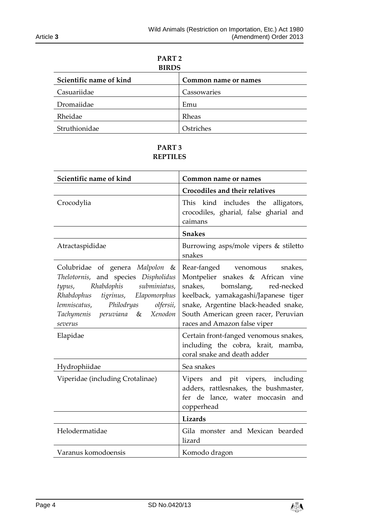| PART <sub>2</sub><br><b>BIRDS</b> |                      |
|-----------------------------------|----------------------|
| Scientific name of kind           | Common name or names |
| Casuariidae                       | Cassowaries          |
| Dromaiidae                        | Emu                  |
| Rheidae                           | Rheas                |
| Struthionidae                     | Ostriches            |

# **PART 3 REPTILES**

| Scientific name of kind                                                                                                                                                                                                                      | Common name or names                                                                                                                                                                                                                                              |
|----------------------------------------------------------------------------------------------------------------------------------------------------------------------------------------------------------------------------------------------|-------------------------------------------------------------------------------------------------------------------------------------------------------------------------------------------------------------------------------------------------------------------|
|                                                                                                                                                                                                                                              | <b>Crocodiles and their relatives</b>                                                                                                                                                                                                                             |
| Crocodylia                                                                                                                                                                                                                                   | kind includes the<br>This<br>alligators,<br>crocodiles, gharial, false gharial and<br>caimans                                                                                                                                                                     |
|                                                                                                                                                                                                                                              | <b>Snakes</b>                                                                                                                                                                                                                                                     |
| Atractaspididae                                                                                                                                                                                                                              | Burrowing asps/mole vipers & stiletto<br>snakes                                                                                                                                                                                                                   |
| Colubridae of genera Malpolon &<br>Thelotornis, and species Dispholidus<br>Rhabdophis subminiatus,<br>typus,<br>Rhabdophus tigrinus, Elapomorphus<br>lemniscatus,<br>Philodryas<br>olfersii,<br>Tachymenis peruviana &<br>Xenodon<br>severus | Rear-fanged venomous<br>snakes,<br>Montpelier snakes & African vine<br>snakes,<br>bomslang,<br>red-necked<br>keelback, yamakagashi/Japanese tiger<br>snake, Argentine black-headed snake,<br>South American green racer, Peruvian<br>races and Amazon false viper |
| Elapidae                                                                                                                                                                                                                                     | Certain front-fanged venomous snakes,<br>including the cobra, krait, mamba,<br>coral snake and death adder                                                                                                                                                        |
| Hydrophiidae                                                                                                                                                                                                                                 | Sea snakes                                                                                                                                                                                                                                                        |
| Viperidae (including Crotalinae)                                                                                                                                                                                                             | Vipers and pit vipers, including<br>adders, rattlesnakes, the bushmaster,<br>fer de lance, water moccasin and<br>copperhead                                                                                                                                       |
|                                                                                                                                                                                                                                              | Lizards                                                                                                                                                                                                                                                           |
| Helodermatidae                                                                                                                                                                                                                               | Gila monster and Mexican bearded<br>lizard                                                                                                                                                                                                                        |
| Varanus komodoensis                                                                                                                                                                                                                          | Komodo dragon                                                                                                                                                                                                                                                     |

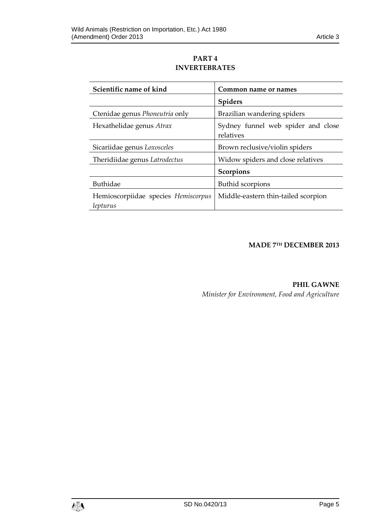# **PART 4 INVERTEBRATES**

| Scientific name of kind                         | Common name or names                            |
|-------------------------------------------------|-------------------------------------------------|
|                                                 | <b>Spiders</b>                                  |
| Ctenidae genus Phoneutria only                  | Brazilian wandering spiders                     |
| Hexathelidae genus Atrax                        | Sydney funnel web spider and close<br>relatives |
| Sicariidae genus Loxosceles                     | Brown reclusive/violin spiders                  |
| Theridiidae genus Latrodectus                   | Widow spiders and close relatives               |
|                                                 | Scorpions                                       |
| <b>Buthidae</b>                                 | <b>Buthid scorpions</b>                         |
| Hemioscorpiidae species Hemiscorpus<br>lepturus | Middle-eastern thin-tailed scorpion             |

# **MADE 7 TH DECEMBER 2013**

**PHIL GAWNE** *Minister for Environment, Food and Agriculture*